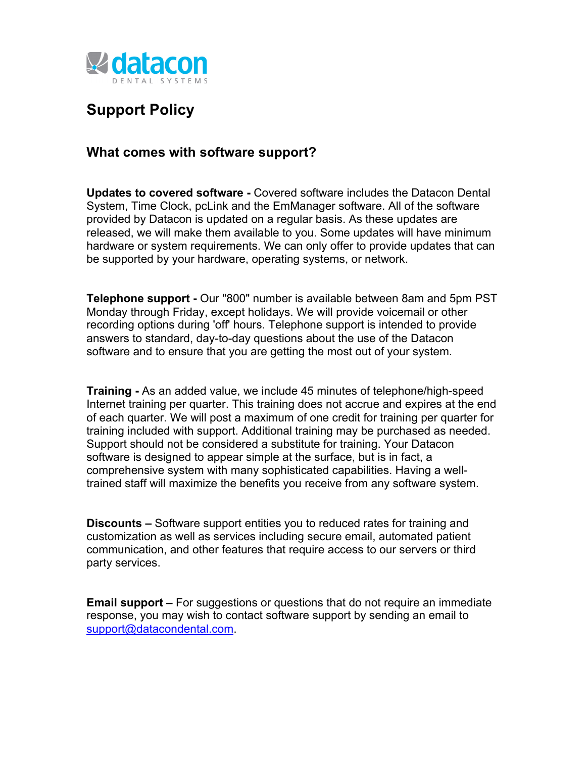

## **Support Policy**

## **What comes with software support?**

**Updates to covered software -** Covered software includes the Datacon Dental System, Time Clock, pcLink and the EmManager software. All of the software provided by Datacon is updated on a regular basis. As these updates are released, we will make them available to you. Some updates will have minimum hardware or system requirements. We can only offer to provide updates that can be supported by your hardware, operating systems, or network.

**Telephone support -** Our "800" number is available between 8am and 5pm PST Monday through Friday, except holidays. We will provide voicemail or other recording options during 'off' hours. Telephone support is intended to provide answers to standard, day-to-day questions about the use of the Datacon software and to ensure that you are getting the most out of your system.

**Training -** As an added value, we include 45 minutes of telephone/high-speed Internet training per quarter. This training does not accrue and expires at the end of each quarter. We will post a maximum of one credit for training per quarter for training included with support. Additional training may be purchased as needed. Support should not be considered a substitute for training. Your Datacon software is designed to appear simple at the surface, but is in fact, a comprehensive system with many sophisticated capabilities. Having a welltrained staff will maximize the benefits you receive from any software system.

**Discounts –** Software support entities you to reduced rates for training and customization as well as services including secure email, automated patient communication, and other features that require access to our servers or third party services.

**Email support –** For suggestions or questions that do not require an immediate response, you may wish to contact software support by sending an email to support@datacondental.com.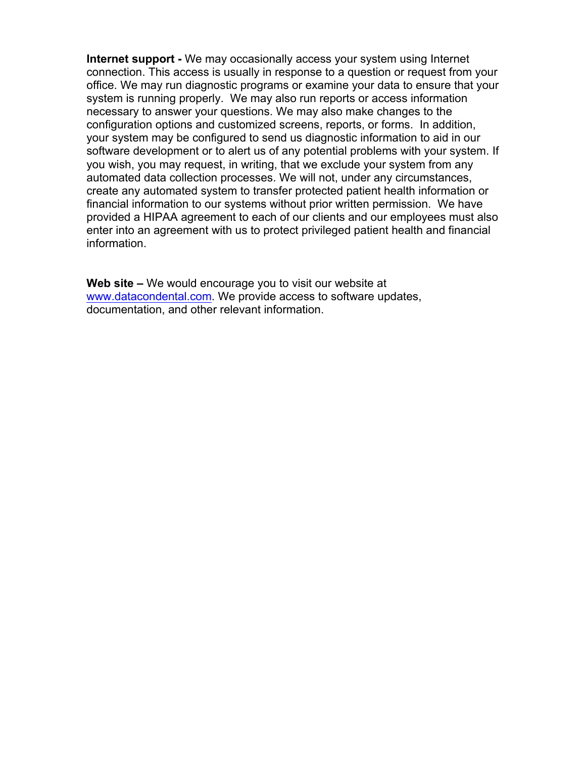**Internet support -** We may occasionally access your system using Internet connection. This access is usually in response to a question or request from your office. We may run diagnostic programs or examine your data to ensure that your system is running properly. We may also run reports or access information necessary to answer your questions. We may also make changes to the configuration options and customized screens, reports, or forms. In addition, your system may be configured to send us diagnostic information to aid in our software development or to alert us of any potential problems with your system. If you wish, you may request, in writing, that we exclude your system from any automated data collection processes. We will not, under any circumstances, create any automated system to transfer protected patient health information or financial information to our systems without prior written permission. We have provided a HIPAA agreement to each of our clients and our employees must also enter into an agreement with us to protect privileged patient health and financial information.

**Web site –** We would encourage you to visit our website at www.datacondental.com. We provide access to software updates, documentation, and other relevant information.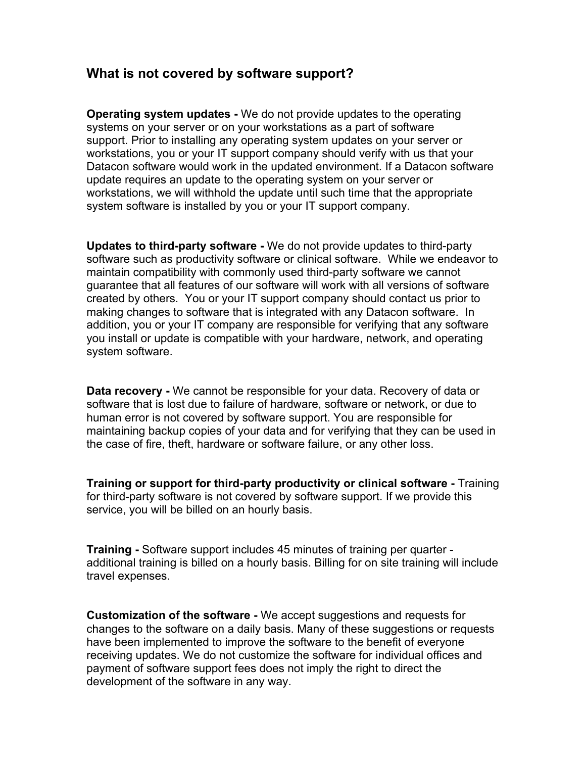## **What is not covered by software support?**

**Operating system updates -** We do not provide updates to the operating systems on your server or on your workstations as a part of software support. Prior to installing any operating system updates on your server or workstations, you or your IT support company should verify with us that your Datacon software would work in the updated environment. If a Datacon software update requires an update to the operating system on your server or workstations, we will withhold the update until such time that the appropriate system software is installed by you or your IT support company.

**Updates to third-party software -** We do not provide updates to third-party software such as productivity software or clinical software. While we endeavor to maintain compatibility with commonly used third-party software we cannot guarantee that all features of our software will work with all versions of software created by others. You or your IT support company should contact us prior to making changes to software that is integrated with any Datacon software. In addition, you or your IT company are responsible for verifying that any software you install or update is compatible with your hardware, network, and operating system software.

**Data recovery -** We cannot be responsible for your data. Recovery of data or software that is lost due to failure of hardware, software or network, or due to human error is not covered by software support. You are responsible for maintaining backup copies of your data and for verifying that they can be used in the case of fire, theft, hardware or software failure, or any other loss.

**Training or support for third-party productivity or clinical software -** Training for third-party software is not covered by software support. If we provide this service, you will be billed on an hourly basis.

**Training -** Software support includes 45 minutes of training per quarter additional training is billed on a hourly basis. Billing for on site training will include travel expenses.

**Customization of the software -** We accept suggestions and requests for changes to the software on a daily basis. Many of these suggestions or requests have been implemented to improve the software to the benefit of everyone receiving updates. We do not customize the software for individual offices and payment of software support fees does not imply the right to direct the development of the software in any way.